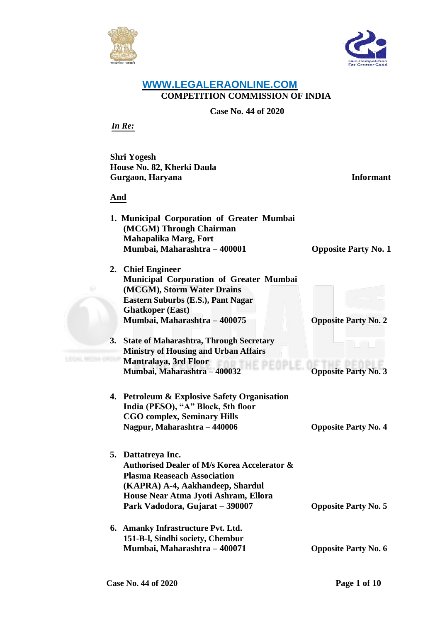



## **WWW.LEGALERAONLINE.COM COMPETITION COMMISSION OF INDIA**

**Case No. 44 of 2020**

*In Re:*

**Shri Yogesh House No. 82, Kherki Daula Gurgaon, Haryana Informant**

**And**

**1. Municipal Corporation of Greater Mumbai (MCGM) Through Chairman Mahapalika Marg, Fort Mumbai, Maharashtra – 400001 Opposite Party No. 1**

**2. Chief Engineer Municipal Corporation of Greater Mumbai (MCGM), Storm Water Drains Eastern Suburbs (E.S.), Pant Nagar Ghatkoper (East) Mumbai, Maharashtra – 400075 Opposite Party No. 2**

- **3. State of Maharashtra, Through Secretary Ministry of Housing and Urban Affairs Mantralaya, 3rd Floor Mumbai, Maharashtra – 400032 Opposite Party No. 3**
- **4. Petroleum & Explosive Safety Organisation India (PESO), "A" Block, 5th floor CGO complex, Seminary Hills Nagpur, Maharashtra – 440006 Opposite Party No. 4**
- **5. Dattatreya Inc. Authorised Dealer of M/s Korea Accelerator & Plasma Reaseach Association (KAPRA) A-4, Aakhandeep, Shardul House Near Atma Jyoti Ashram, Ellora Park Vadodora, Gujarat – 390007 Opposite Party No. 5**
- **6. Amanky Infrastructure Pvt. Ltd. 151-B-l, Sindhi society, Chembur Mumbai, Maharashtra – 400071 Opposite Party No. 6**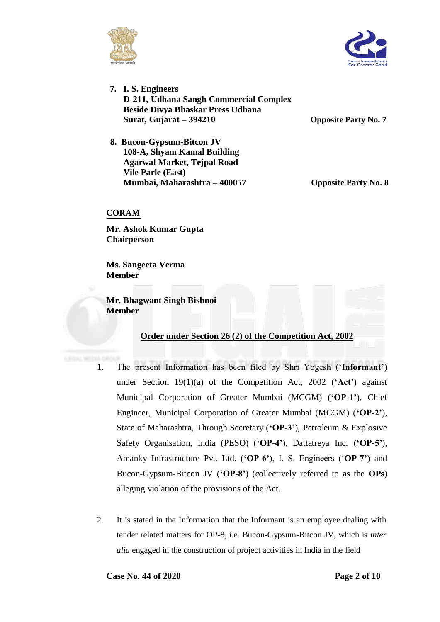



**7. I. S. Engineers D-211, Udhana Sangh Commercial Complex Beside Divya Bhaskar Press Udhana Surat, Gujarat – 394210 Opposite Party No. 7**

**8. Bucon-Gypsum-Bitcon JV 108-A, Shyam Kamal Building Agarwal Market, Tejpal Road Vile Parle (East) Mumbai, Maharashtra – 400057 Opposite Party No. 8**

## **CORAM**

**Mr. Ashok Kumar Gupta Chairperson**

**Ms. Sangeeta Verma Member**

**Mr. Bhagwant Singh Bishnoi Member**

## **Order under Section 26 (2) of the Competition Act, 2002**

- 1. The present Information has been filed by Shri Yogesh ('**Informant'**) under Section 19(1)(a) of the Competition Act, 2002 (**'Act'**) against Municipal Corporation of Greater Mumbai (MCGM) (**'OP-1'**), Chief Engineer, Municipal Corporation of Greater Mumbai (MCGM) (**'OP-2'**), State of Maharashtra, Through Secretary (**'OP-3'**), Petroleum & Explosive Safety Organisation, India (PESO) (**'OP-4'**), Dattatreya Inc. **('OP-5'**), Amanky Infrastructure Pvt. Ltd. (**'OP-6'**), I. S. Engineers ('**OP-7'**) and Bucon-Gypsum-Bitcon JV (**'OP-8'**) (collectively referred to as the **OPs**) alleging violation of the provisions of the Act.
- 2. It is stated in the Information that the Informant is an employee dealing with tender related matters for OP-8, i.e. Bucon-Gypsum-Bitcon JV, which is *inter alia* engaged in the construction of project activities in India in the field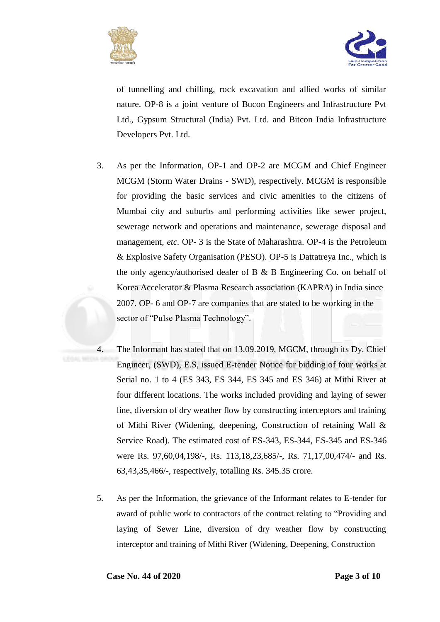



of tunnelling and chilling, rock excavation and allied works of similar nature. OP-8 is a joint venture of Bucon Engineers and Infrastructure Pvt Ltd., Gypsum Structural (India) Pvt. Ltd. and Bitcon India Infrastructure Developers Pvt. Ltd.

- 3. As per the Information, OP-1 and OP-2 are MCGM and Chief Engineer MCGM (Storm Water Drains - SWD), respectively. MCGM is responsible for providing the basic services and civic amenities to the citizens of Mumbai city and suburbs and performing activities like sewer project, sewerage network and operations and maintenance, sewerage disposal and management, *etc.* OP- 3 is the State of Maharashtra. OP-4 is the Petroleum & Explosive Safety Organisation (PESO). OP-5 is Dattatreya Inc., which is the only agency/authorised dealer of B & B Engineering Co. on behalf of Korea Accelerator & Plasma Research association (KAPRA) in India since 2007. OP- 6 and OP-7 are companies that are stated to be working in the sector of "Pulse Plasma Technology".
- 4. The Informant has stated that on 13.09.2019, MGCM, through its Dy. Chief Engineer, (SWD), E.S, issued E-tender Notice for bidding of four works at Serial no. 1 to 4 (ES 343, ES 344, ES 345 and ES 346) at Mithi River at four different locations. The works included providing and laying of sewer line, diversion of dry weather flow by constructing interceptors and training of Mithi River (Widening, deepening, Construction of retaining Wall & Service Road). The estimated cost of ES-343, ES-344, ES-345 and ES-346 were Rs. 97,60,04,198/-, Rs. 113,18,23,685/-, Rs. 71,17,00,474/- and Rs. 63,43,35,466/-, respectively, totalling Rs. 345.35 crore.
- 5. As per the Information, the grievance of the Informant relates to E-tender for award of public work to contractors of the contract relating to "Providing and laying of Sewer Line, diversion of dry weather flow by constructing interceptor and training of Mithi River (Widening, Deepening, Construction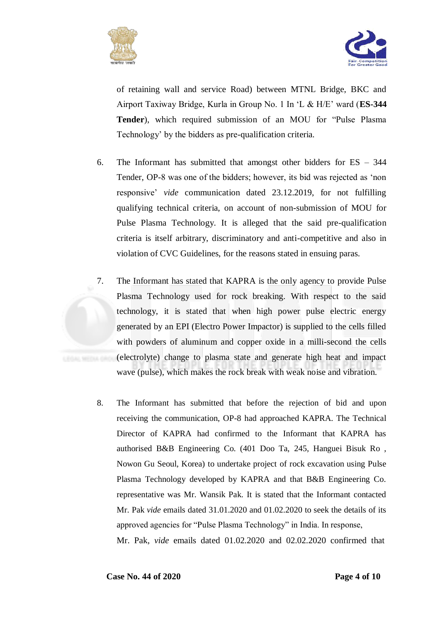



of retaining wall and service Road) between MTNL Bridge, BKC and Airport Taxiway Bridge, Kurla in Group No. 1 In 'L & H/E' ward (**ES-344 Tender**), which required submission of an MOU for "Pulse Plasma Technology' by the bidders as pre-qualification criteria.

- 6. The Informant has submitted that amongst other bidders for ES 344 Tender, OP-8 was one of the bidders; however, its bid was rejected as 'non responsive' *vide* communication dated 23.12.2019, for not fulfilling qualifying technical criteria, on account of non-submission of MOU for Pulse Plasma Technology. It is alleged that the said pre-qualification criteria is itself arbitrary, discriminatory and anti-competitive and also in violation of CVC Guidelines, for the reasons stated in ensuing paras.
- 7. The Informant has stated that KAPRA is the only agency to provide Pulse Plasma Technology used for rock breaking. With respect to the said technology, it is stated that when high power pulse electric energy generated by an EPI (Electro Power Impactor) is supplied to the cells filled with powders of aluminum and copper oxide in a milli-second the cells (electrolyte) change to plasma state and generate high heat and impact wave (pulse), which makes the rock break with weak noise and vibration.
- 8. The Informant has submitted that before the rejection of bid and upon receiving the communication, OP-8 had approached KAPRA. The Technical Director of KAPRA had confirmed to the Informant that KAPRA has authorised B&B Engineering Co. (401 Doo Ta, 245, Hanguei Bisuk Ro , Nowon Gu Seoul, Korea) to undertake project of rock excavation using Pulse Plasma Technology developed by KAPRA and that B&B Engineering Co. representative was Mr. Wansik Pak. It is stated that the Informant contacted Mr. Pak *vide* emails dated 31.01.2020 and 01.02.2020 to seek the details of its approved agencies for "Pulse Plasma Technology" in India. In response, Mr. Pak, *vide* emails dated 01.02.2020 and 02.02.2020 confirmed that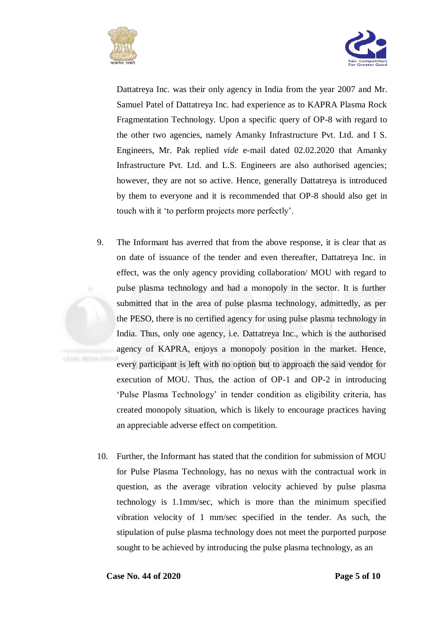



Dattatreya Inc. was their only agency in India from the year 2007 and Mr. Samuel Patel of Dattatreya Inc. had experience as to KAPRA Plasma Rock Fragmentation Technology. Upon a specific query of OP-8 with regard to the other two agencies, namely Amanky Infrastructure Pvt. Ltd. and I S. Engineers, Mr. Pak replied *vide* e-mail dated 02.02.2020 that Amanky Infrastructure Pvt. Ltd. and L.S. Engineers are also authorised agencies; however, they are not so active. Hence, generally Dattatreya is introduced by them to everyone and it is recommended that OP-8 should also get in touch with it 'to perform projects more perfectly'.

- 9. The Informant has averred that from the above response, it is clear that as on date of issuance of the tender and even thereafter, Dattatreya Inc. in effect, was the only agency providing collaboration/ MOU with regard to pulse plasma technology and had a monopoly in the sector. It is further submitted that in the area of pulse plasma technology, admittedly, as per the PESO, there is no certified agency for using pulse plasma technology in India. Thus, only one agency, i.e. Dattatreya Inc., which is the authorised agency of KAPRA, enjoys a monopoly position in the market. Hence, every participant is left with no option but to approach the said vendor for execution of MOU. Thus, the action of OP-1 and OP-2 in introducing 'Pulse Plasma Technology' in tender condition as eligibility criteria, has created monopoly situation, which is likely to encourage practices having an appreciable adverse effect on competition.
- 10. Further, the Informant has stated that the condition for submission of MOU for Pulse Plasma Technology, has no nexus with the contractual work in question, as the average vibration velocity achieved by pulse plasma technology is 1.1mm/sec, which is more than the minimum specified vibration velocity of 1 mm/sec specified in the tender. As such, the stipulation of pulse plasma technology does not meet the purported purpose sought to be achieved by introducing the pulse plasma technology, as an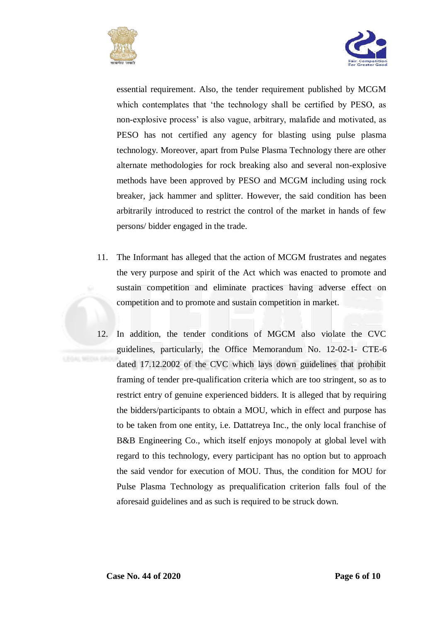



essential requirement. Also, the tender requirement published by MCGM which contemplates that 'the technology shall be certified by PESO, as non-explosive process' is also vague, arbitrary, malafide and motivated, as PESO has not certified any agency for blasting using pulse plasma technology. Moreover, apart from Pulse Plasma Technology there are other alternate methodologies for rock breaking also and several non-explosive methods have been approved by PESO and MCGM including using rock breaker, jack hammer and splitter. However, the said condition has been arbitrarily introduced to restrict the control of the market in hands of few persons/ bidder engaged in the trade.

- 11. The Informant has alleged that the action of MCGM frustrates and negates the very purpose and spirit of the Act which was enacted to promote and sustain competition and eliminate practices having adverse effect on competition and to promote and sustain competition in market.
- 12. In addition, the tender conditions of MGCM also violate the CVC guidelines, particularly, the Office Memorandum No. 12-02-1- CTE-6 dated 17.12.2002 of the CVC which lays down guidelines that prohibit framing of tender pre-qualification criteria which are too stringent, so as to restrict entry of genuine experienced bidders. It is alleged that by requiring the bidders/participants to obtain a MOU, which in effect and purpose has to be taken from one entity, i.e. Dattatreya Inc., the only local franchise of B&B Engineering Co., which itself enjoys monopoly at global level with regard to this technology, every participant has no option but to approach the said vendor for execution of MOU. Thus, the condition for MOU for Pulse Plasma Technology as prequalification criterion falls foul of the aforesaid guidelines and as such is required to be struck down.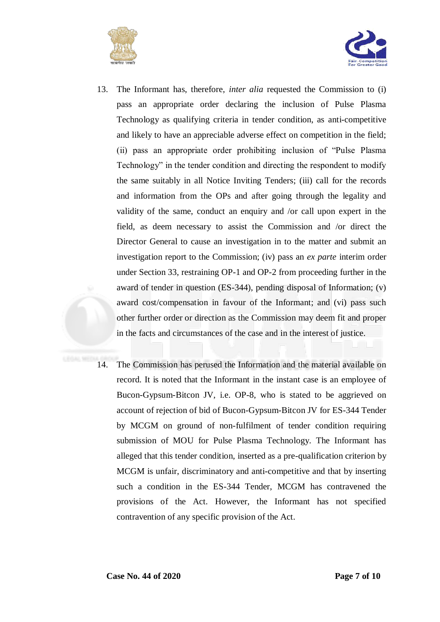



- 13. The Informant has, therefore, *inter alia* requested the Commission to (i) pass an appropriate order declaring the inclusion of Pulse Plasma Technology as qualifying criteria in tender condition, as anti-competitive and likely to have an appreciable adverse effect on competition in the field; (ii) pass an appropriate order prohibiting inclusion of "Pulse Plasma Technology" in the tender condition and directing the respondent to modify the same suitably in all Notice Inviting Tenders; (iii) call for the records and information from the OPs and after going through the legality and validity of the same, conduct an enquiry and /or call upon expert in the field, as deem necessary to assist the Commission and /or direct the Director General to cause an investigation in to the matter and submit an investigation report to the Commission; (iv) pass an *ex parte* interim order under Section 33, restraining OP-1 and OP-2 from proceeding further in the award of tender in question (ES-344), pending disposal of Information; (v) award cost/compensation in favour of the Informant; and (vi) pass such other further order or direction as the Commission may deem fit and proper in the facts and circumstances of the case and in the interest of justice.
- 14. The Commission has perused the Information and the material available on record. It is noted that the Informant in the instant case is an employee of Bucon-Gypsum-Bitcon JV, i.e. OP-8, who is stated to be aggrieved on account of rejection of bid of Bucon-Gypsum-Bitcon JV for ES-344 Tender by MCGM on ground of non-fulfilment of tender condition requiring submission of MOU for Pulse Plasma Technology. The Informant has alleged that this tender condition, inserted as a pre-qualification criterion by MCGM is unfair, discriminatory and anti-competitive and that by inserting such a condition in the ES-344 Tender, MCGM has contravened the provisions of the Act. However, the Informant has not specified contravention of any specific provision of the Act.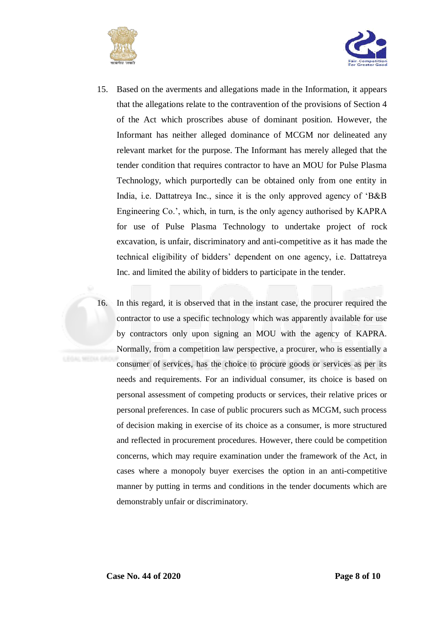



- 15. Based on the averments and allegations made in the Information, it appears that the allegations relate to the contravention of the provisions of Section 4 of the Act which proscribes abuse of dominant position. However, the Informant has neither alleged dominance of MCGM nor delineated any relevant market for the purpose. The Informant has merely alleged that the tender condition that requires contractor to have an MOU for Pulse Plasma Technology, which purportedly can be obtained only from one entity in India, i.e. Dattatreya Inc., since it is the only approved agency of 'B&B Engineering Co.', which, in turn, is the only agency authorised by KAPRA for use of Pulse Plasma Technology to undertake project of rock excavation, is unfair, discriminatory and anti-competitive as it has made the technical eligibility of bidders' dependent on one agency, i.e. Dattatreya Inc. and limited the ability of bidders to participate in the tender.
- 16. In this regard, it is observed that in the instant case, the procurer required the contractor to use a specific technology which was apparently available for use by contractors only upon signing an MOU with the agency of KAPRA. Normally, from a competition law perspective, a procurer, who is essentially a consumer of services, has the choice to procure goods or services as per its needs and requirements. For an individual consumer, its choice is based on personal assessment of competing products or services, their relative prices or personal preferences. In case of public procurers such as MCGM, such process of decision making in exercise of its choice as a consumer, is more structured and reflected in procurement procedures. However, there could be competition concerns, which may require examination under the framework of the Act, in cases where a monopoly buyer exercises the option in an anti-competitive manner by putting in terms and conditions in the tender documents which are demonstrably unfair or discriminatory.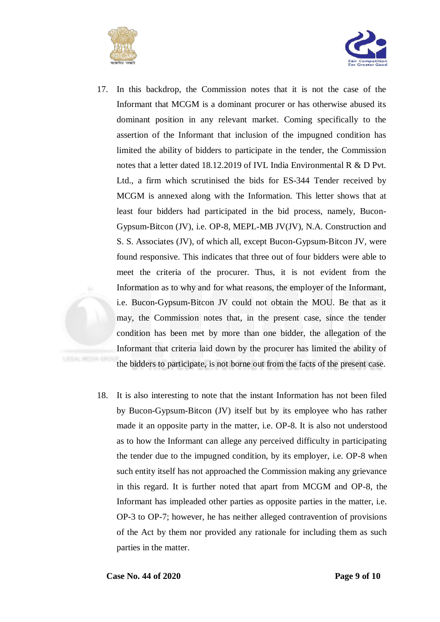



- 17. In this backdrop, the Commission notes that it is not the case of the Informant that MCGM is a dominant procurer or has otherwise abused its dominant position in any relevant market. Coming specifically to the assertion of the Informant that inclusion of the impugned condition has limited the ability of bidders to participate in the tender, the Commission notes that a letter dated 18.12.2019 of IVL India Environmental R & D Pvt. Ltd., a firm which scrutinised the bids for ES-344 Tender received by MCGM is annexed along with the Information. This letter shows that at least four bidders had participated in the bid process, namely, Bucon-Gypsum-Bitcon (JV), i.e. OP-8, MEPL-MB JV(JV), N.A. Construction and S. S. Associates (JV), of which all, except Bucon-Gypsum-Bitcon JV, were found responsive. This indicates that three out of four bidders were able to meet the criteria of the procurer. Thus, it is not evident from the Information as to why and for what reasons, the employer of the Informant, i.e. Bucon-Gypsum-Bitcon JV could not obtain the MOU. Be that as it may, the Commission notes that, in the present case, since the tender condition has been met by more than one bidder, the allegation of the Informant that criteria laid down by the procurer has limited the ability of the bidders to participate, is not borne out from the facts of the present case.
- 18. It is also interesting to note that the instant Information has not been filed by Bucon-Gypsum-Bitcon (JV) itself but by its employee who has rather made it an opposite party in the matter, i.e. OP-8. It is also not understood as to how the Informant can allege any perceived difficulty in participating the tender due to the impugned condition, by its employer, i.e. OP-8 when such entity itself has not approached the Commission making any grievance in this regard. It is further noted that apart from MCGM and OP-8, the Informant has impleaded other parties as opposite parties in the matter, i.e. OP-3 to OP-7; however, he has neither alleged contravention of provisions of the Act by them nor provided any rationale for including them as such parties in the matter.